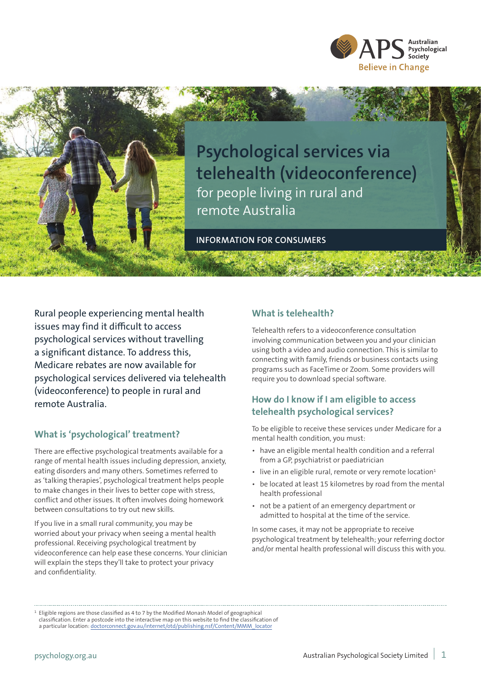



**Psychological services via telehealth (videoconference)**  for people living in rural and remote Australia

**INFORMATION FOR CONSUMERS**

Rural people experiencing mental health issues may find it difficult to access psychological services without travelling a significant distance. To address this, Medicare rebates are now available for psychological services delivered via telehealth (videoconference) to people in rural and remote Australia.

### **What is 'psychological' treatment?**

There are effective psychological treatments available for a range of mental health issues including depression, anxiety, eating disorders and many others. Sometimes referred to as 'talking therapies', psychological treatment helps people to make changes in their lives to better cope with stress, conflict and other issues. It often involves doing homework between consultations to try out new skills.

If you live in a small rural community, you may be worried about your privacy when seeing a mental health professional. Receiving psychological treatment by videoconference can help ease these concerns. Your clinician will explain the steps they'll take to protect your privacy and confidentiality.

### **What is telehealth?**

Telehealth refers to a videoconference consultation involving communication between you and your clinician using both a video and audio connection. This is similar to connecting with family, friends or business contacts using programs such as FaceTime or Zoom. Some providers will require you to download special software.

# **How do I know if I am eligible to access telehealth psychological services?**

To be eligible to receive these services under Medicare for a mental health condition, you must:

- *•* have an eligible mental health condition and a referral from a GP, psychiatrist or paediatrician
- live in an eligible rural, remote or very remote location<sup>1</sup>
- *•* be located at least 15 kilometres by road from the mental health professional
- *•* not be a patient of an emergency department or admitted to hospital at the time of the service.

In some cases, it may not be appropriate to receive psychological treatment by telehealth; your referring doctor and/or mental health professional will discuss this with you.

 $<sup>1</sup>$  Eligible regions are those classified as 4 to 7 by the Modified Monash Model of geographical</sup> classification. Enter a postcode into the interactive map on this website to find the classification of a particular location: doctorconnect.gov.au/internet/otd/publishing.nsf/Content/MMM\_locator